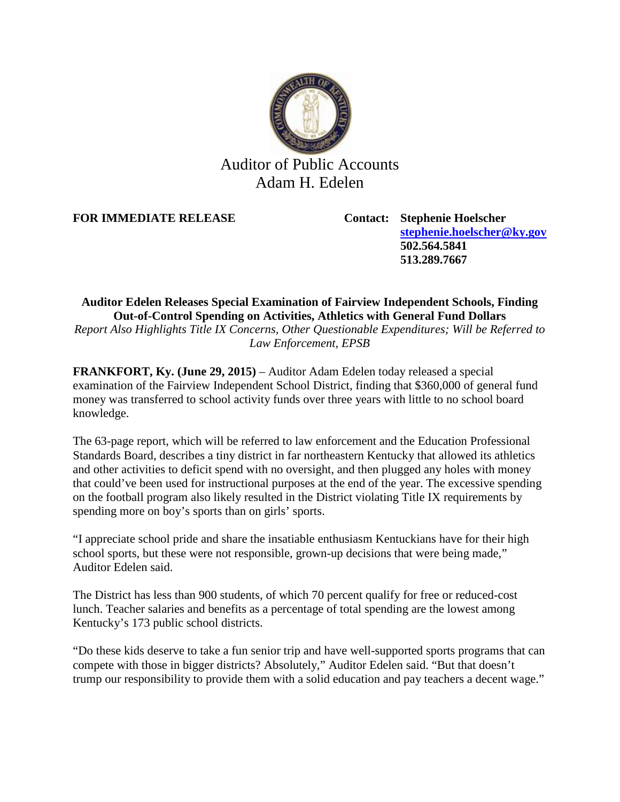

## Auditor of Public Accounts Adam H. Edelen

**FOR IMMEDIATE RELEASE Contact: Stephenie Hoelscher**

**[stephenie.hoelscher@ky.gov](mailto:stephenie.hoelscher@ky.gov) 502.564.5841 513.289.7667**

## **Auditor Edelen Releases Special Examination of Fairview Independent Schools, Finding Out-of-Control Spending on Activities, Athletics with General Fund Dollars**

*Report Also Highlights Title IX Concerns, Other Questionable Expenditures; Will be Referred to Law Enforcement, EPSB*

**FRANKFORT, Ky. (June 29, 2015)** – Auditor Adam Edelen today released a special examination of the Fairview Independent School District, finding that \$360,000 of general fund money was transferred to school activity funds over three years with little to no school board knowledge.

The 63-page report, which will be referred to law enforcement and the Education Professional Standards Board, describes a tiny district in far northeastern Kentucky that allowed its athletics and other activities to deficit spend with no oversight, and then plugged any holes with money that could've been used for instructional purposes at the end of the year. The excessive spending on the football program also likely resulted in the District violating Title IX requirements by spending more on boy's sports than on girls' sports.

"I appreciate school pride and share the insatiable enthusiasm Kentuckians have for their high school sports, but these were not responsible, grown-up decisions that were being made," Auditor Edelen said.

The District has less than 900 students, of which 70 percent qualify for free or reduced-cost lunch. Teacher salaries and benefits as a percentage of total spending are the lowest among Kentucky's 173 public school districts.

"Do these kids deserve to take a fun senior trip and have well-supported sports programs that can compete with those in bigger districts? Absolutely," Auditor Edelen said. "But that doesn't trump our responsibility to provide them with a solid education and pay teachers a decent wage."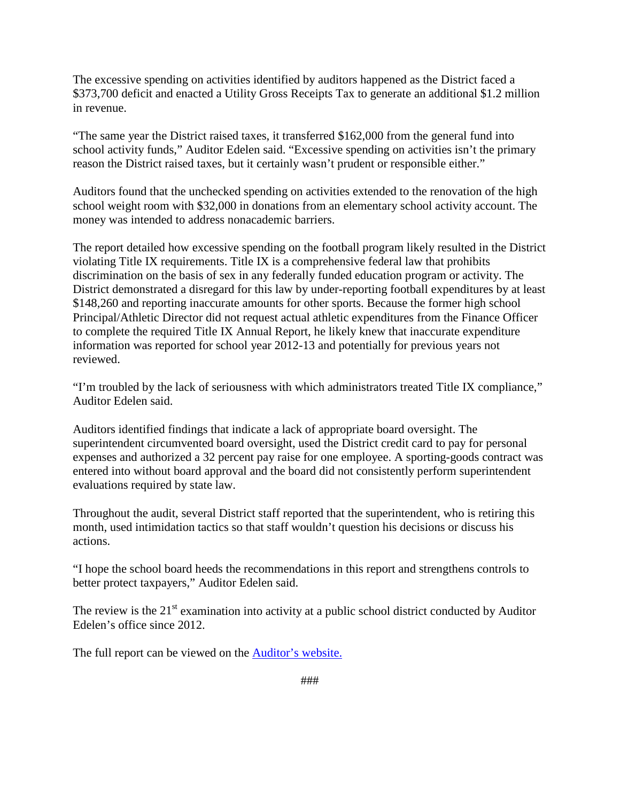The excessive spending on activities identified by auditors happened as the District faced a \$373,700 deficit and enacted a Utility Gross Receipts Tax to generate an additional \$1.2 million in revenue.

"The same year the District raised taxes, it transferred \$162,000 from the general fund into school activity funds," Auditor Edelen said. "Excessive spending on activities isn't the primary reason the District raised taxes, but it certainly wasn't prudent or responsible either."

Auditors found that the unchecked spending on activities extended to the renovation of the high school weight room with \$32,000 in donations from an elementary school activity account. The money was intended to address nonacademic barriers.

The report detailed how excessive spending on the football program likely resulted in the District violating Title IX requirements. Title IX is a comprehensive federal law that prohibits discrimination on the basis of sex in any federally funded education program or activity. The District demonstrated a disregard for this law by under-reporting football expenditures by at least \$148,260 and reporting inaccurate amounts for other sports. Because the former high school Principal/Athletic Director did not request actual athletic expenditures from the Finance Officer to complete the required Title IX Annual Report, he likely knew that inaccurate expenditure information was reported for school year 2012-13 and potentially for previous years not reviewed.

"I'm troubled by the lack of seriousness with which administrators treated Title IX compliance," Auditor Edelen said.

Auditors identified findings that indicate a lack of appropriate board oversight. The superintendent circumvented board oversight, used the District credit card to pay for personal expenses and authorized a 32 percent pay raise for one employee. A sporting-goods contract was entered into without board approval and the board did not consistently perform superintendent evaluations required by state law.

Throughout the audit, several District staff reported that the superintendent, who is retiring this month, used intimidation tactics so that staff wouldn't question his decisions or discuss his actions.

"I hope the school board heeds the recommendations in this report and strengthens controls to better protect taxpayers," Auditor Edelen said.

The review is the  $21<sup>st</sup>$  examination into activity at a public school district conducted by Auditor Edelen's office since 2012.

The full report can be viewed on the [Auditor's website.](http://apps.auditor.ky.gov/Public/Audit_Reports/Archive/2015FairviewIndependantSchoolDistExamination.pdf)